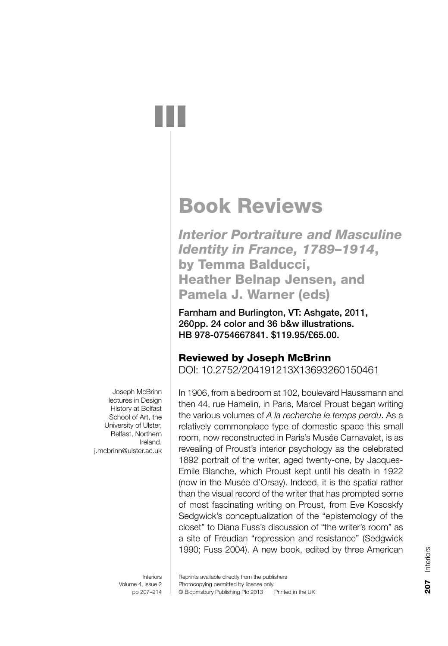# Book Reviews

*Interior Portraiture and Masculine Identity in France, 1789–1914*, by Temma Balducci, Heather Belnap Jensen, and Pamela J. Warner (eds)

Farnham and Burlington, VT: Ashgate, 2011, 260pp. 24 color and 36 b&w illustrations. HB 978-0754667841. \$119.95/£65.00.

## Reviewed by Joseph McBrinn

DOI: 10.2752/204191213X13693260150461

In 1906, from a bedroom at 102, boulevard Haussmann and then 44, rue Hamelin, in Paris, Marcel Proust began writing the various volumes of *A la recherche le temps perdu*. As a relatively commonplace type of domestic space this small room, now reconstructed in Paris's Musée Carnavalet, is as revealing of Proust's interior psychology as the celebrated 1892 portrait of the writer, aged twenty-one, by Jacques-Emile Blanche, which Proust kept until his death in 1922 (now in the Musée d'Orsay). Indeed, it is the spatial rather than the visual record of the writer that has prompted some of most fascinating writing on Proust, from Eve Kososkfy Sedgwick's conceptualization of the "epistemology of the closet" to Diana Fuss's discussion of "the writer's room" as a site of Freudian "repression and resistance" (Sedgwick 1990; Fuss 2004). A new book, edited by three American

Joseph McBrinn lectures in Design History at Belfast School of Art, the University of Ulster, Belfast, Northern Ireland. j.mcbrinn@ulster.ac.uk

> Interiors Volume 4, Issue 2 pp 207–214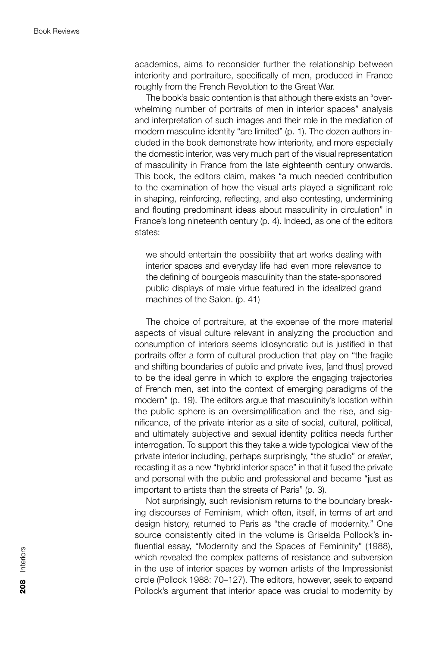academics, aims to reconsider further the relationship between interiority and portraiture, specifically of men, produced in France roughly from the French Revolution to the Great War.

The book's basic contention is that although there exists an "overwhelming number of portraits of men in interior spaces" analysis and interpretation of such images and their role in the mediation of modern masculine identity "are limited" (p. 1). The dozen authors included in the book demonstrate how interiority, and more especially the domestic interior, was very much part of the visual representation of masculinity in France from the late eighteenth century onwards. This book, the editors claim, makes "a much needed contribution to the examination of how the visual arts played a significant role in shaping, reinforcing, reflecting, and also contesting, undermining and flouting predominant ideas about masculinity in circulation" in France's long nineteenth century (p. 4). Indeed, as one of the editors states:

we should entertain the possibility that art works dealing with interior spaces and everyday life had even more relevance to the defining of bourgeois masculinity than the state-sponsored public displays of male virtue featured in the idealized grand machines of the Salon. (p. 41)

The choice of portraiture, at the expense of the more material aspects of visual culture relevant in analyzing the production and consumption of interiors seems idiosyncratic but is justified in that portraits offer a form of cultural production that play on "the fragile and shifting boundaries of public and private lives, [and thus] proved to be the ideal genre in which to explore the engaging trajectories of French men, set into the context of emerging paradigms of the modern" (p. 19). The editors arque that masculinity's location within the public sphere is an oversimplification and the rise, and significance, of the private interior as a site of social, cultural, political, and ultimately subjective and sexual identity politics needs further interrogation. To support this they take a wide typological view of the private interior including, perhaps surprisingly, "the studio" or *atelier*, recasting it as a new "hybrid interior space" in that it fused the private and personal with the public and professional and became "just as important to artists than the streets of Paris" (p. 3).

Not surprisingly, such revisionism returns to the boundary breaking discourses of Feminism, which often, itself, in terms of art and design history, returned to Paris as "the cradle of modernity." One source consistently cited in the volume is Griselda Pollock's influential essay, "Modernity and the Spaces of Femininity" (1988), which revealed the complex patterns of resistance and subversion in the use of interior spaces by women artists of the Impressionist circle (Pollock 1988: 70–127). The editors, however, seek to expand Pollock's argument that interior space was crucial to modernity by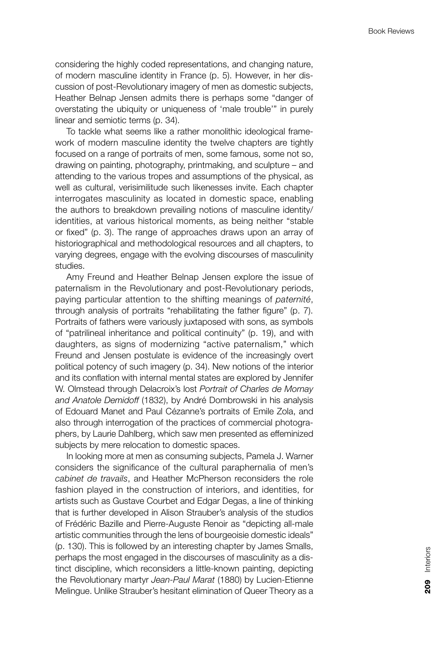considering the highly coded representations, and changing nature, of modern masculine identity in France (p. 5). However, in her discussion of post-Revolutionary imagery of men as domestic subjects, Heather Belnap Jensen admits there is perhaps some "danger of overstating the ubiquity or uniqueness of 'male trouble'" in purely linear and semiotic terms (p. 34).

To tackle what seems like a rather monolithic ideological framework of modern masculine identity the twelve chapters are tightly focused on a range of portraits of men, some famous, some not so, drawing on painting, photography, printmaking, and sculpture – and attending to the various tropes and assumptions of the physical, as well as cultural, verisimilitude such likenesses invite. Each chapter interrogates masculinity as located in domestic space, enabling the authors to breakdown prevailing notions of masculine identity/ identities, at various historical moments, as being neither "stable or fixed" (p. 3). The range of approaches draws upon an array of historiographical and methodological resources and all chapters, to varying degrees, engage with the evolving discourses of masculinity studies.

Amy Freund and Heather Belnap Jensen explore the issue of paternalism in the Revolutionary and post-Revolutionary periods, paying particular attention to the shifting meanings of *paternité*, through analysis of portraits "rehabilitating the father figure" (p. 7). Portraits of fathers were variously juxtaposed with sons, as symbols of "patrilineal inheritance and political continuity" (p. 19), and with daughters, as signs of modernizing "active paternalism," which Freund and Jensen postulate is evidence of the increasingly overt political potency of such imagery (p. 34). New notions of the interior and its conflation with internal mental states are explored by Jennifer W. Olmstead through Delacroix's lost *Portrait of Charles de Mornay and Anatole Demidoff* (1832), by André Dombrowski in his analysis of Edouard Manet and Paul Cézanne's portraits of Emile Zola, and also through interrogation of the practices of commercial photographers, by Laurie Dahlberg, which saw men presented as effeminized subjects by mere relocation to domestic spaces.

In looking more at men as consuming subjects, Pamela J. Warner considers the significance of the cultural paraphernalia of men's *cabinet de travails*, and Heather McPherson reconsiders the role fashion played in the construction of interiors, and identities, for artists such as Gustave Courbet and Edgar Degas, a line of thinking that is further developed in Alison Strauber's analysis of the studios of Frédéric Bazille and Pierre-Auguste Renoir as "depicting all-male artistic communities through the lens of bourgeoisie domestic ideals" (p. 130). This is followed by an interesting chapter by James Smalls, perhaps the most engaged in the discourses of masculinity as a distinct discipline, which reconsiders a little-known painting, depicting the Revolutionary martyr *Jean-Paul Marat* (1880) by Lucien-Etienne Melingue. Unlike Strauber's hesitant elimination of Queer Theory as a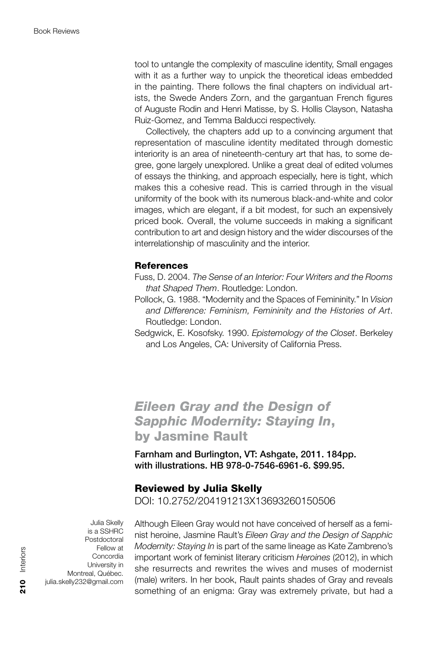tool to untangle the complexity of masculine identity, Small engages with it as a further way to unpick the theoretical ideas embedded in the painting. There follows the final chapters on individual artists, the Swede Anders Zorn, and the gargantuan French figures of Auguste Rodin and Henri Matisse, by S. Hollis Clayson, Natasha Ruiz-Gomez, and Temma Balducci respectively.

Collectively, the chapters add up to a convincing argument that representation of masculine identity meditated through domestic interiority is an area of nineteenth-century art that has, to some degree, gone largely unexplored. Unlike a great deal of edited volumes of essays the thinking, and approach especially, here is tight, which makes this a cohesive read. This is carried through in the visual uniformity of the book with its numerous black-and-white and color images, which are elegant, if a bit modest, for such an expensively priced book. Overall, the volume succeeds in making a significant contribution to art and design history and the wider discourses of the interrelationship of masculinity and the interior.

#### **References**

- Fuss, D. 2004. *The Sense of an Interior: Four Writers and the Rooms that Shaped Them*. Routledge: London.
- Pollock, G. 1988. "Modernity and the Spaces of Femininity." In *Vision and Difference: Feminism, Femininity and the Histories of Art*. Routledge: London.
- Sedgwick, E. Kosofsky. 1990. *Epistemology of the Closet*. Berkeley and Los Angeles, CA: University of California Press.

*Eileen Gray and the Design of Sapphic Modernity: Staying In*, by Jasmine Rault

Farnham and Burlington, VT: Ashgate, 2011. 184pp. with illustrations. HB 978-0-7546-6961-6. \$99.95.

### Reviewed by Julia Skelly

DOI: 10.2752/204191213X13693260150506

Julia Skelly is a SSHRC Postdoctoral Fellow at Concordia University in Montreal, Québec. julia.skelly232@gmail.com

Although Eileen Gray would not have conceived of herself as a feminist heroine, Jasmine Rault's *Eileen Gray and the Design of Sapphic Modernity: Staying In* is part of the same lineage as Kate Zambreno's important work of feminist literary criticism *Heroines* (2012), in which she resurrects and rewrites the wives and muses of modernist (male) writers. In her book, Rault paints shades of Gray and reveals something of an enigma: Gray was extremely private, but had a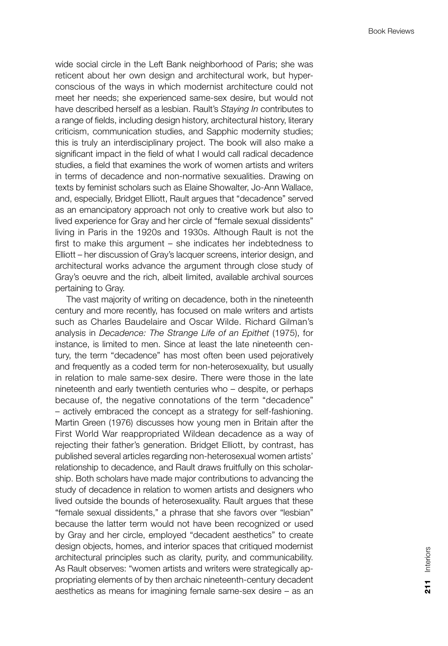wide social circle in the Left Bank neighborhood of Paris; she was reticent about her own design and architectural work, but hyperconscious of the ways in which modernist architecture could not meet her needs; she experienced same-sex desire, but would not have described herself as a lesbian. Rault's *Staying In* contributes to a range of fields, including design history, architectural history, literary criticism, communication studies, and Sapphic modernity studies; this is truly an interdisciplinary project. The book will also make a significant impact in the field of what I would call radical decadence studies, a field that examines the work of women artists and writers in terms of decadence and non-normative sexualities. Drawing on texts by feminist scholars such as Elaine Showalter, Jo-Ann Wallace, and, especially, Bridget Elliott, Rault argues that "decadence" served as an emancipatory approach not only to creative work but also to lived experience for Gray and her circle of "female sexual dissidents" living in Paris in the 1920s and 1930s. Although Rault is not the first to make this argument – she indicates her indebtedness to Elliott – her discussion of Gray's lacquer screens, interior design, and architectural works advance the argument through close study of Gray's oeuvre and the rich, albeit limited, available archival sources pertaining to Gray.

The vast majority of writing on decadence, both in the nineteenth century and more recently, has focused on male writers and artists such as Charles Baudelaire and Oscar Wilde. Richard Gilman's analysis in *Decadence: The Strange Life of an Epithet* (1975), for instance, is limited to men. Since at least the late nineteenth century, the term "decadence" has most often been used pejoratively and frequently as a coded term for non-heterosexuality, but usually in relation to male same-sex desire. There were those in the late nineteenth and early twentieth centuries who – despite, or perhaps because of, the negative connotations of the term "decadence" – actively embraced the concept as a strategy for self-fashioning. Martin Green (1976) discusses how young men in Britain after the First World War reappropriated Wildean decadence as a way of rejecting their father's generation. Bridget Elliott, by contrast, has published several articles regarding non-heterosexual women artists' relationship to decadence, and Rault draws fruitfully on this scholarship. Both scholars have made major contributions to advancing the study of decadence in relation to women artists and designers who lived outside the bounds of heterosexuality. Rault argues that these "female sexual dissidents," a phrase that she favors over "lesbian" because the latter term would not have been recognized or used by Gray and her circle, employed "decadent aesthetics" to create design objects, homes, and interior spaces that critiqued modernist architectural principles such as clarity, purity, and communicability. As Rault observes: "women artists and writers were strategically appropriating elements of by then archaic nineteenth-century decadent aesthetics as means for imagining female same-sex desire – as an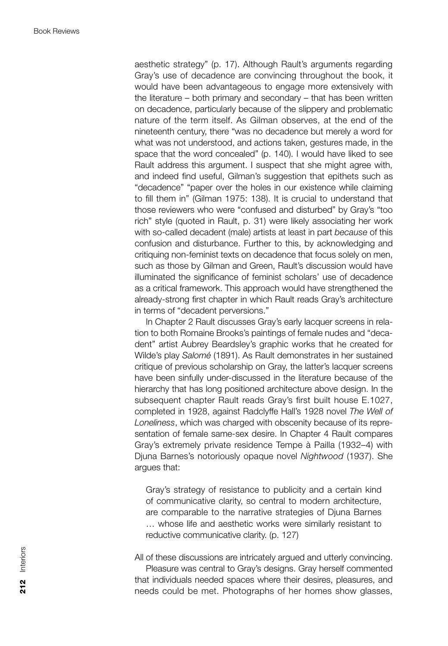aesthetic strategy" (p. 17). Although Rault's arguments regarding Gray's use of decadence are convincing throughout the book, it would have been advantageous to engage more extensively with the literature – both primary and secondary – that has been written on decadence, particularly because of the slippery and problematic nature of the term itself. As Gilman observes, at the end of the nineteenth century, there "was no decadence but merely a word for what was not understood, and actions taken, gestures made, in the space that the word concealed" (p. 140). I would have liked to see Rault address this argument. I suspect that she might agree with, and indeed find useful, Gilman's suggestion that epithets such as "decadence" "paper over the holes in our existence while claiming to fill them in" (Gilman 1975: 138). It is crucial to understand that those reviewers who were "confused and disturbed" by Gray's "too rich" style (quoted in Rault, p. 31) were likely associating her work with so-called decadent (male) artists at least in part *because* of this confusion and disturbance. Further to this, by acknowledging and critiquing non-feminist texts on decadence that focus solely on men, such as those by Gilman and Green, Rault's discussion would have illuminated the significance of feminist scholars' use of decadence as a critical framework. This approach would have strengthened the already-strong first chapter in which Rault reads Gray's architecture in terms of "decadent perversions."

In Chapter 2 Rault discusses Gray's early lacquer screens in relation to both Romaine Brooks's paintings of female nudes and "decadent" artist Aubrey Beardsley's graphic works that he created for Wilde's play *Salomé* (1891). As Rault demonstrates in her sustained critique of previous scholarship on Gray, the latter's lacquer screens have been sinfully under-discussed in the literature because of the hierarchy that has long positioned architecture above design. In the subsequent chapter Rault reads Gray's first built house E.1027, completed in 1928, against Radclyffe Hall's 1928 novel *The Well of Loneliness*, which was charged with obscenity because of its representation of female same-sex desire. In Chapter 4 Rault compares Gray's extremely private residence Tempe à Pailla (1932–4) with Djuna Barnes's notoriously opaque novel *Nightwood* (1937). She argues that:

Gray's strategy of resistance to publicity and a certain kind of communicative clarity, so central to modern architecture, are comparable to the narrative strategies of Djuna Barnes … whose life and aesthetic works were similarly resistant to reductive communicative clarity. (p. 127)

All of these discussions are intricately argued and utterly convincing. Pleasure was central to Gray's designs. Gray herself commented that individuals needed spaces where their desires, pleasures, and needs could be met. Photographs of her homes show glasses,